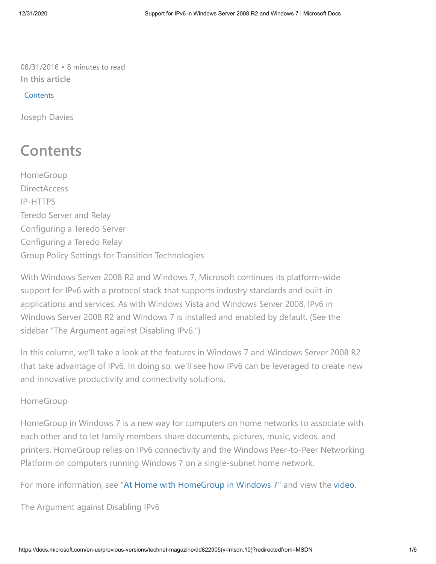08/31/2016 • 8 minutes to read **In this article**

## **Contents**

Joseph Davies

# **Contents**

HomeGroup **DirectAccess** IP-HTTPS Teredo Server and Relay Configuring a Teredo Server Configuring a Teredo Relay Group Policy Settings for Transition Technologies

With Windows Server 2008 R2 and Windows 7, Microsoft continues its platform-wide support for IPv6 with a protocol stack that supports industry standards and built-in applications and services. As with Windows Vista and Windows Server 2008, IPv6 in Windows Server 2008 R2 and Windows 7 is installed and enabled by default. (See the sidebar "The Argument against Disabling IPv6.")

In this column, we'll take a look at the features in Windows 7 and Windows Server 2008 R2 that take advantage of IPv6. In doing so, we'll see how IPv6 can be leveraged to create new and innovative productivity and connectivity solutions.

# HomeGroup

HomeGroup in Windows 7 is a new way for computers on home networks to associate with each other and to let family members share documents, pictures, music, videos, and printers. HomeGroup relies on IPv6 connectivity and the Windows Peer-to-Peer Networking Platform on computers running Windows 7 on a single-subnet home network.

For more information, see "[At Home with HomeGroup in Windows 7](http://go.microsoft.com/fwlink/?linkid=150437)" and view the [video.](http://go.microsoft.com/fwlink/?linkid=150438)

The Argument against Disabling IPv6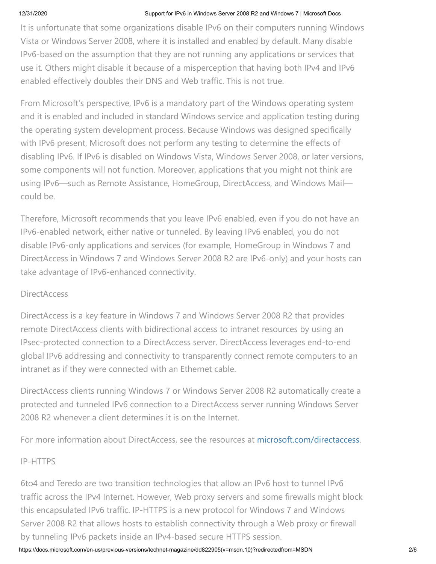### 12/31/2020 Support for IPv6 in Windows Server 2008 R2 and Windows 7 | Microsoft Docs

It is unfortunate that some organizations disable IPv6 on their computers running Windows Vista or Windows Server 2008, where it is installed and enabled by default. Many disable IPv6-based on the assumption that they are not running any applications or services that use it. Others might disable it because of a misperception that having both IPv4 and IPv6 enabled effectively doubles their DNS and Web traffic. This is not true.

From Microsoft's perspective, IPv6 is a mandatory part of the Windows operating system and it is enabled and included in standard Windows service and application testing during the operating system development process. Because Windows was designed specifically with IPv6 present, Microsoft does not perform any testing to determine the effects of disabling IPv6. If IPv6 is disabled on Windows Vista, Windows Server 2008, or later versions, some components will not function. Moreover, applications that you might not think are using IPv6—such as Remote Assistance, HomeGroup, DirectAccess, and Windows Mail could be.

Therefore, Microsoft recommends that you leave IPv6 enabled, even if you do not have an IPv6-enabled network, either native or tunneled. By leaving IPv6 enabled, you do not disable IPv6-only applications and services (for example, HomeGroup in Windows 7 and DirectAccess in Windows 7 and Windows Server 2008 R2 are IPv6-only) and your hosts can take advantage of IPv6-enhanced connectivity.

# **DirectAccess**

DirectAccess is a key feature in Windows 7 and Windows Server 2008 R2 that provides remote DirectAccess clients with bidirectional access to intranet resources by using an IPsec-protected connection to a DirectAccess server. DirectAccess leverages end-to-end global IPv6 addressing and connectivity to transparently connect remote computers to an intranet as if they were connected with an Ethernet cable.

DirectAccess clients running Windows 7 or Windows Server 2008 R2 automatically create a protected and tunneled IPv6 connection to a DirectAccess server running Windows Server 2008 R2 whenever a client determines it is on the Internet.

For more information about DirectAccess, see the resources at [microsoft.com/directaccess](http://microsoft.com/directaccess).

# IP-HTTPS

6to4 and Teredo are two transition technologies that allow an IPv6 host to tunnel IPv6 traffic across the IPv4 Internet. However, Web proxy servers and some firewalls might block this encapsulated IPv6 traffic. IP-HTTPS is a new protocol for Windows 7 and Windows Server 2008 R2 that allows hosts to establish connectivity through a Web proxy or firewall by tunneling IPv6 packets inside an IPv4-based secure HTTPS session.

https://docs.microsoft.com/en-us/previous-versions/technet-magazine/dd822905(v=msdn.10)?redirectedfrom=MSDN 2/6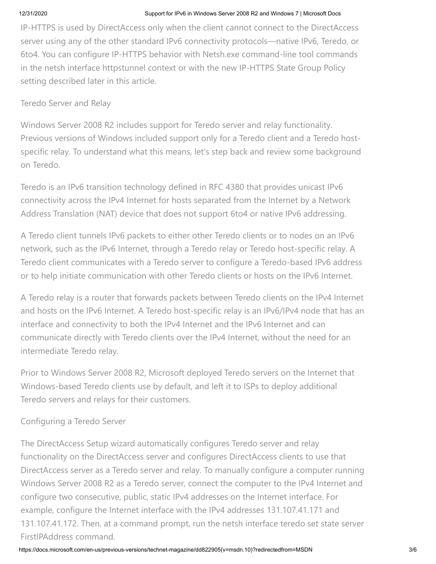### 12/31/2020 Support for IPv6 in Windows Server 2008 R2 and Windows 7 | Microsoft Docs

IP-HTTPS is used by DirectAccess only when the client cannot connect to the DirectAccess server using any of the other standard IPv6 connectivity protocols—native IPv6, Teredo, or 6to4. You can configure IP-HTTPS behavior with Netsh.exe command-line tool commands in the netsh interface httpstunnel context or with the new IP-HTTPS State Group Policy setting described later in this article.

# Teredo Server and Relay

Windows Server 2008 R2 includes support for Teredo server and relay functionality. Previous versions of Windows included support only for a Teredo client and a Teredo hostspecific relay. To understand what this means, let's step back and review some background on Teredo.

Teredo is an IPv6 transition technology defined in RFC 4380 that provides unicast IPv6 connectivity across the IPv4 Internet for hosts separated from the Internet by a Network Address Translation (NAT) device that does not support 6to4 or native IPv6 addressing.

A Teredo client tunnels IPv6 packets to either other Teredo clients or to nodes on an IPv6 network, such as the IPv6 Internet, through a Teredo relay or Teredo host-specific relay. A Teredo client communicates with a Teredo server to configure a Teredo-based IPv6 address or to help initiate communication with other Teredo clients or hosts on the IPv6 Internet.

A Teredo relay is a router that forwards packets between Teredo clients on the IPv4 Internet and hosts on the IPv6 Internet. A Teredo host-specific relay is an IPv6/IPv4 node that has an interface and connectivity to both the IPv4 Internet and the IPv6 Internet and can communicate directly with Teredo clients over the IPv4 Internet, without the need for an intermediate Teredo relay.

Prior to Windows Server 2008 R2, Microsoft deployed Teredo servers on the Internet that Windows-based Teredo clients use by default, and left it to ISPs to deploy additional Teredo servers and relays for their customers.

# Configuring a Teredo Server

The DirectAccess Setup wizard automatically configures Teredo server and relay functionality on the DirectAccess server and configures DirectAccess clients to use that DirectAccess server as a Teredo server and relay. To manually configure a computer running Windows Server 2008 R2 as a Teredo server, connect the computer to the IPv4 Internet and configure two consecutive, public, static IPv4 addresses on the Internet interface. For example, configure the Internet interface with the IPv4 addresses 131.107.41.171 and 131.107.41.172. Then, at a command prompt, run the netsh interface teredo set state server FirstIPAddress command.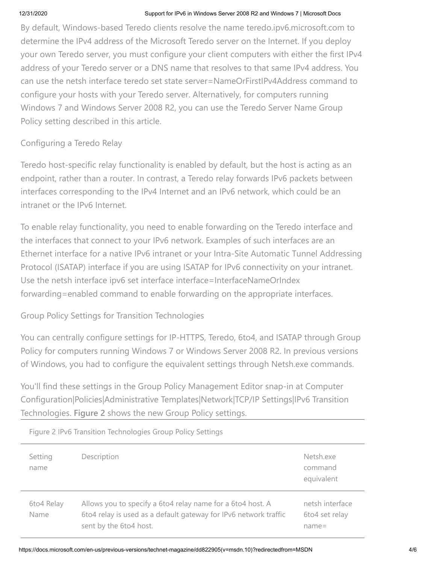### 12/31/2020 Support for IPv6 in Windows Server 2008 R2 and Windows 7 | Microsoft Docs

By default, Windows-based Teredo clients resolve the name teredo.ipv6.microsoft.com to determine the IPv4 address of the Microsoft Teredo server on the Internet. If you deploy your own Teredo server, you must configure your client computers with either the first IPv4 address of your Teredo server or a DNS name that resolves to that same IPv4 address. You can use the netsh interface teredo set state server=NameOrFirstIPv4Address command to configure your hosts with your Teredo server. Alternatively, for computers running Windows 7 and Windows Server 2008 R2, you can use the Teredo Server Name Group Policy setting described in this article.

# Configuring a Teredo Relay

Teredo host-specific relay functionality is enabled by default, but the host is acting as an endpoint, rather than a router. In contrast, a Teredo relay forwards IPv6 packets between interfaces corresponding to the IPv4 Internet and an IPv6 network, which could be an intranet or the IPv6 Internet.

To enable relay functionality, you need to enable forwarding on the Teredo interface and the interfaces that connect to your IPv6 network. Examples of such interfaces are an Ethernet interface for a native IPv6 intranet or your Intra-Site Automatic Tunnel Addressing Protocol (ISATAP) interface if you are using ISATAP for IPv6 connectivity on your intranet. Use the netsh interface ipv6 set interface interface=InterfaceNameOrIndex forwarding=enabled command to enable forwarding on the appropriate interfaces.

# Group Policy Settings for Transition Technologies

You can centrally configure settings for IP-HTTPS, Teredo, 6to4, and ISATAP through Group Policy for computers running Windows 7 or Windows Server 2008 R2. In previous versions of Windows, you had to configure the equivalent settings through Netsh.exe commands.

You'll find these settings in the Group Policy Management Editor snap-in at Computer Configuration|Policies|Administrative Templates|Network|TCP/IP Settings|IPv6 Transition Technologies. **Figure 2** shows the new Group Policy settings.

| Setting<br>name    | Description                                                                                                                                              | Netsh.exe<br>command<br>equivalent            |
|--------------------|----------------------------------------------------------------------------------------------------------------------------------------------------------|-----------------------------------------------|
| 6to4 Relay<br>Name | Allows you to specify a 6to4 relay name for a 6to4 host. A<br>6to4 relay is used as a default gateway for IPv6 network traffic<br>sent by the 6to4 host. | netsh interface<br>6to4 set relay<br>$name =$ |

Figure 2 IPv6 Transition Technologies Group Policy Settings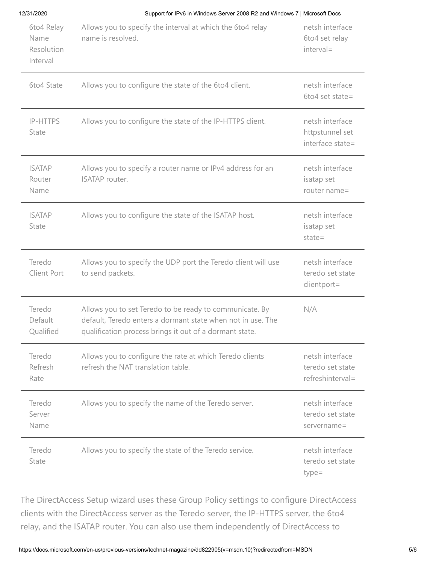Support for IPv6 in Windows Server 2008 R2 and Windows 7 | Microsoft Docs

| 6to4 Relay<br>Name<br>Resolution<br>Interval | Allows you to specify the interval at which the 6to4 relay<br>name is resolved.                                                                                                   | netsh interface<br>6to4 set relay<br>interval=          |
|----------------------------------------------|-----------------------------------------------------------------------------------------------------------------------------------------------------------------------------------|---------------------------------------------------------|
| 6to4 State                                   | Allows you to configure the state of the 6to4 client.                                                                                                                             | netsh interface<br>6to4 set state=                      |
| IP-HTTPS<br>State                            | Allows you to configure the state of the IP-HTTPS client.                                                                                                                         | netsh interface<br>httpstunnel set<br>interface state=  |
| <b>ISATAP</b><br>Router<br>Name              | Allows you to specify a router name or IPv4 address for an<br><b>ISATAP</b> router.                                                                                               | netsh interface<br>isatap set<br>router name=           |
| <b>ISATAP</b><br>State                       | Allows you to configure the state of the ISATAP host.                                                                                                                             | netsh interface<br>isatap set<br>$state =$              |
| Teredo<br>Client Port                        | Allows you to specify the UDP port the Teredo client will use<br>to send packets.                                                                                                 | netsh interface<br>teredo set state<br>clientport=      |
| Teredo<br>Default<br>Qualified               | Allows you to set Teredo to be ready to communicate. By<br>default, Teredo enters a dormant state when not in use. The<br>qualification process brings it out of a dormant state. | N/A                                                     |
| Teredo<br>Refresh<br>Rate                    | Allows you to configure the rate at which Teredo clients<br>refresh the NAT translation table.                                                                                    | netsh interface<br>teredo set state<br>refreshinterval= |
| Teredo<br>Server<br>Name                     | Allows you to specify the name of the Teredo server.                                                                                                                              | netsh interface<br>teredo set state<br>$servername =$   |
| Teredo<br>State                              | Allows you to specify the state of the Teredo service.                                                                                                                            | netsh interface<br>teredo set state<br>$type =$         |

The DirectAccess Setup wizard uses these Group Policy settings to configure DirectAccess clients with the DirectAccess server as the Teredo server, the IP-HTTPS server, the 6to4 relay, and the ISATAP router. You can also use them independently of DirectAccess to